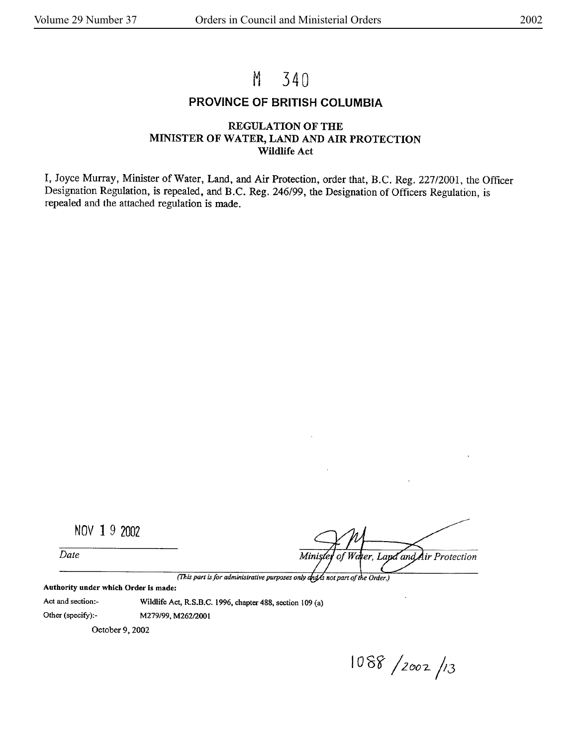# M 340

### **PROVINCE OF BRITISH COLUMBIA**

#### **REGULATION OF THE MINISTER OF WATER, LAND AND AIR PROTECTION Wildlife Act**

I, Joyce Murray, Minister of Water, Land, and Air Protection, order that, B.C. Reg. 227/2001, the Officer Designation Regulation, is repealed, and B.C. Reg. 246/99, the Designation of Officers Regulation, is repealed and the attached regulation is made.

NOV 1 9 2002

*Date* 

Air Protection Minis 'dter, Lapd and W ol

*(This part is for administrative purposes only dud is not part of the Order.)* 

**Authority under which Order Is made:** 

Act and section:- Wildlife Act, R.S.B.C. 1996, chapter 488, section 109 (a)

Other (specify):- M279/99, M262/2001

October 9, 2002

 $1088 / 2002 / 3$